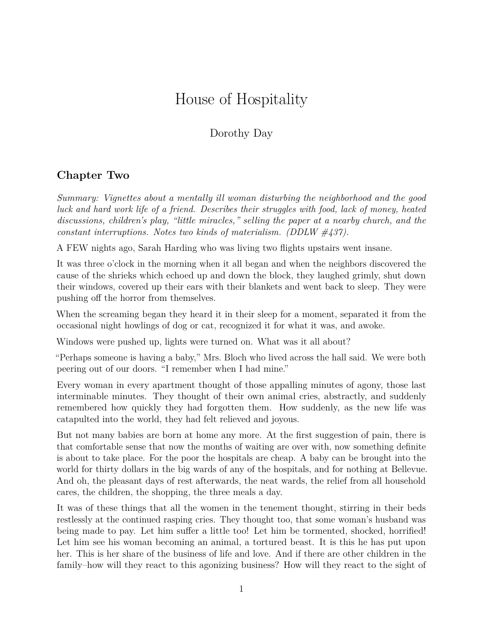# House of Hospitality

# Dorothy Day

# **Chapter Two**

*Summary: Vignettes about a mentally ill woman disturbing the neighborhood and the good luck and hard work life of a friend. Describes their struggles with food, lack of money, heated discussions, children's play, "little miracles," selling the paper at a nearby church, and the constant interruptions. Notes two kinds of materialism. (DDLW #437).*

A FEW nights ago, Sarah Harding who was living two flights upstairs went insane.

It was three o'clock in the morning when it all began and when the neighbors discovered the cause of the shrieks which echoed up and down the block, they laughed grimly, shut down their windows, covered up their ears with their blankets and went back to sleep. They were pushing off the horror from themselves.

When the screaming began they heard it in their sleep for a moment, separated it from the occasional night howlings of dog or cat, recognized it for what it was, and awoke.

Windows were pushed up, lights were turned on. What was it all about?

"Perhaps someone is having a baby," Mrs. Bloch who lived across the hall said. We were both peering out of our doors. "I remember when I had mine."

Every woman in every apartment thought of those appalling minutes of agony, those last interminable minutes. They thought of their own animal cries, abstractly, and suddenly remembered how quickly they had forgotten them. How suddenly, as the new life was catapulted into the world, they had felt relieved and joyous.

But not many babies are born at home any more. At the first suggestion of pain, there is that comfortable sense that now the months of waiting are over with, now something definite is about to take place. For the poor the hospitals are cheap. A baby can be brought into the world for thirty dollars in the big wards of any of the hospitals, and for nothing at Bellevue. And oh, the pleasant days of rest afterwards, the neat wards, the relief from all household cares, the children, the shopping, the three meals a day.

It was of these things that all the women in the tenement thought, stirring in their beds restlessly at the continued rasping cries. They thought too, that some woman's husband was being made to pay. Let him suffer a little too! Let him be tormented, shocked, horrified! Let him see his woman becoming an animal, a tortured beast. It is this he has put upon her. This is her share of the business of life and love. And if there are other children in the family–how will they react to this agonizing business? How will they react to the sight of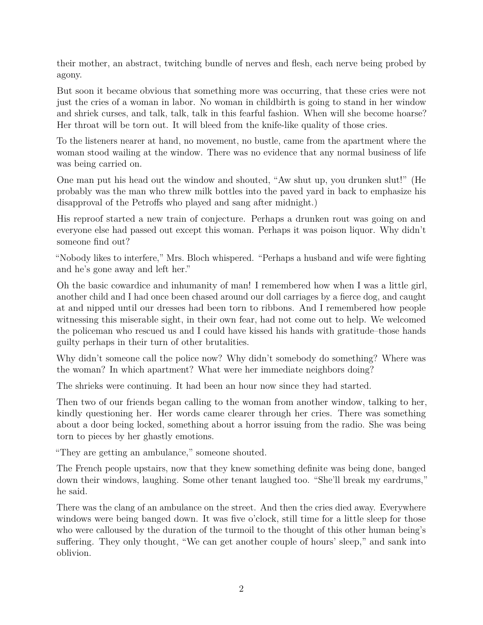their mother, an abstract, twitching bundle of nerves and flesh, each nerve being probed by agony.

But soon it became obvious that something more was occurring, that these cries were not just the cries of a woman in labor. No woman in childbirth is going to stand in her window and shriek curses, and talk, talk, talk in this fearful fashion. When will she become hoarse? Her throat will be torn out. It will bleed from the knife-like quality of those cries.

To the listeners nearer at hand, no movement, no bustle, came from the apartment where the woman stood wailing at the window. There was no evidence that any normal business of life was being carried on.

One man put his head out the window and shouted, "Aw shut up, you drunken slut!" (He probably was the man who threw milk bottles into the paved yard in back to emphasize his disapproval of the Petroffs who played and sang after midnight.)

His reproof started a new train of conjecture. Perhaps a drunken rout was going on and everyone else had passed out except this woman. Perhaps it was poison liquor. Why didn't someone find out?

"Nobody likes to interfere," Mrs. Bloch whispered. "Perhaps a husband and wife were fighting and he's gone away and left her."

Oh the basic cowardice and inhumanity of man! I remembered how when I was a little girl, another child and I had once been chased around our doll carriages by a fierce dog, and caught at and nipped until our dresses had been torn to ribbons. And I remembered how people witnessing this miserable sight, in their own fear, had not come out to help. We welcomed the policeman who rescued us and I could have kissed his hands with gratitude–those hands guilty perhaps in their turn of other brutalities.

Why didn't someone call the police now? Why didn't somebody do something? Where was the woman? In which apartment? What were her immediate neighbors doing?

The shrieks were continuing. It had been an hour now since they had started.

Then two of our friends began calling to the woman from another window, talking to her, kindly questioning her. Her words came clearer through her cries. There was something about a door being locked, something about a horror issuing from the radio. She was being torn to pieces by her ghastly emotions.

"They are getting an ambulance," someone shouted.

The French people upstairs, now that they knew something definite was being done, banged down their windows, laughing. Some other tenant laughed too. "She'll break my eardrums," he said.

There was the clang of an ambulance on the street. And then the cries died away. Everywhere windows were being banged down. It was five o'clock, still time for a little sleep for those who were calloused by the duration of the turmoil to the thought of this other human being's suffering. They only thought, "We can get another couple of hours' sleep," and sank into oblivion.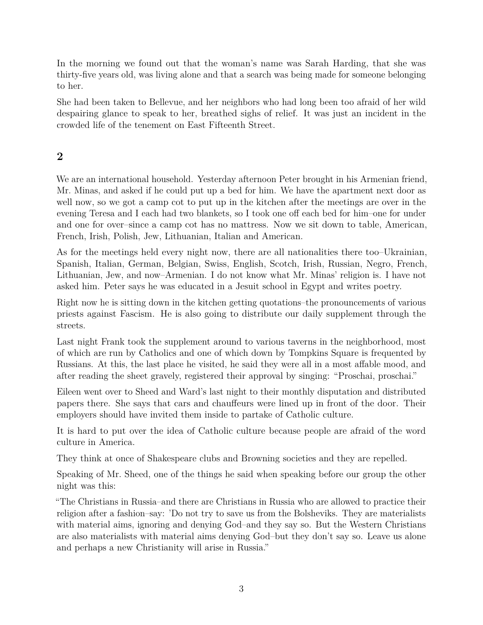In the morning we found out that the woman's name was Sarah Harding, that she was thirty-five years old, was living alone and that a search was being made for someone belonging to her.

She had been taken to Bellevue, and her neighbors who had long been too afraid of her wild despairing glance to speak to her, breathed sighs of relief. It was just an incident in the crowded life of the tenement on East Fifteenth Street.

# **2**

We are an international household. Yesterday afternoon Peter brought in his Armenian friend, Mr. Minas, and asked if he could put up a bed for him. We have the apartment next door as well now, so we got a camp cot to put up in the kitchen after the meetings are over in the evening Teresa and I each had two blankets, so I took one off each bed for him–one for under and one for over–since a camp cot has no mattress. Now we sit down to table, American, French, Irish, Polish, Jew, Lithuanian, Italian and American.

As for the meetings held every night now, there are all nationalities there too–Ukrainian, Spanish, Italian, German, Belgian, Swiss, English, Scotch, Irish, Russian, Negro, French, Lithuanian, Jew, and now–Armenian. I do not know what Mr. Minas' religion is. I have not asked him. Peter says he was educated in a Jesuit school in Egypt and writes poetry.

Right now he is sitting down in the kitchen getting quotations–the pronouncements of various priests against Fascism. He is also going to distribute our daily supplement through the streets.

Last night Frank took the supplement around to various taverns in the neighborhood, most of which are run by Catholics and one of which down by Tompkins Square is frequented by Russians. At this, the last place he visited, he said they were all in a most affable mood, and after reading the sheet gravely, registered their approval by singing: "Proschai, proschai."

Eileen went over to Sheed and Ward's last night to their monthly disputation and distributed papers there. She says that cars and chauffeurs were lined up in front of the door. Their employers should have invited them inside to partake of Catholic culture.

It is hard to put over the idea of Catholic culture because people are afraid of the word culture in America.

They think at once of Shakespeare clubs and Browning societies and they are repelled.

Speaking of Mr. Sheed, one of the things he said when speaking before our group the other night was this:

"The Christians in Russia–and there are Christians in Russia who are allowed to practice their religion after a fashion–say: 'Do not try to save us from the Bolsheviks. They are materialists with material aims, ignoring and denying God–and they say so. But the Western Christians are also materialists with material aims denying God–but they don't say so. Leave us alone and perhaps a new Christianity will arise in Russia."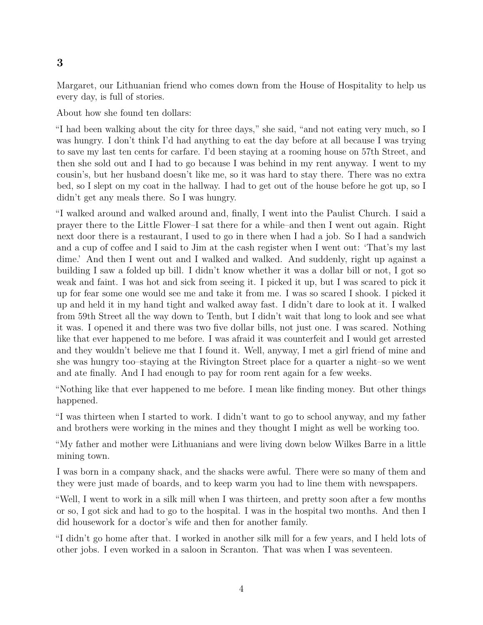#### Margaret, our Lithuanian friend who comes down from the House of Hospitality to help us every day, is full of stories.

About how she found ten dollars:

"I had been walking about the city for three days," she said, "and not eating very much, so I was hungry. I don't think I'd had anything to eat the day before at all because I was trying to save my last ten cents for carfare. I'd been staying at a rooming house on 57th Street, and then she sold out and I had to go because I was behind in my rent anyway. I went to my cousin's, but her husband doesn't like me, so it was hard to stay there. There was no extra bed, so I slept on my coat in the hallway. I had to get out of the house before he got up, so I didn't get any meals there. So I was hungry.

"I walked around and walked around and, finally, I went into the Paulist Church. I said a prayer there to the Little Flower–I sat there for a while–and then I went out again. Right next door there is a restaurant, I used to go in there when I had a job. So I had a sandwich and a cup of coffee and I said to Jim at the cash register when I went out: 'That's my last dime.' And then I went out and I walked and walked. And suddenly, right up against a building I saw a folded up bill. I didn't know whether it was a dollar bill or not, I got so weak and faint. I was hot and sick from seeing it. I picked it up, but I was scared to pick it up for fear some one would see me and take it from me. I was so scared I shook. I picked it up and held it in my hand tight and walked away fast. I didn't dare to look at it. I walked from 59th Street all the way down to Tenth, but I didn't wait that long to look and see what it was. I opened it and there was two five dollar bills, not just one. I was scared. Nothing like that ever happened to me before. I was afraid it was counterfeit and I would get arrested and they wouldn't believe me that I found it. Well, anyway, I met a girl friend of mine and she was hungry too–staying at the Rivington Street place for a quarter a night–so we went and ate finally. And I had enough to pay for room rent again for a few weeks.

"Nothing like that ever happened to me before. I mean like finding money. But other things happened.

"I was thirteen when I started to work. I didn't want to go to school anyway, and my father and brothers were working in the mines and they thought I might as well be working too.

"My father and mother were Lithuanians and were living down below Wilkes Barre in a little mining town.

I was born in a company shack, and the shacks were awful. There were so many of them and they were just made of boards, and to keep warm you had to line them with newspapers.

"Well, I went to work in a silk mill when I was thirteen, and pretty soon after a few months or so, I got sick and had to go to the hospital. I was in the hospital two months. And then I did housework for a doctor's wife and then for another family.

"I didn't go home after that. I worked in another silk mill for a few years, and I held lots of other jobs. I even worked in a saloon in Scranton. That was when I was seventeen.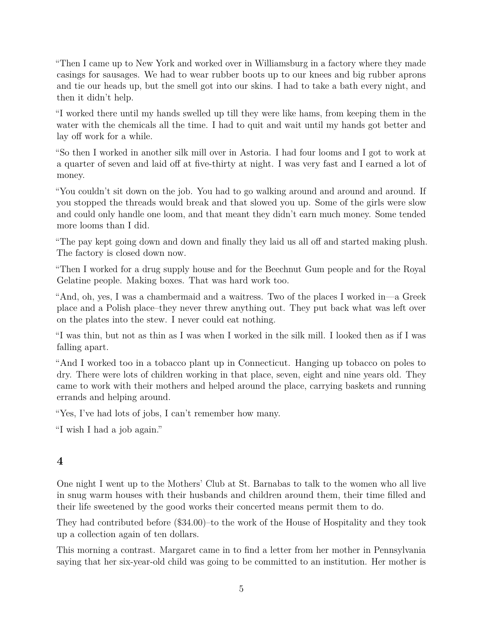"Then I came up to New York and worked over in Williamsburg in a factory where they made casings for sausages. We had to wear rubber boots up to our knees and big rubber aprons and tie our heads up, but the smell got into our skins. I had to take a bath every night, and then it didn't help.

"I worked there until my hands swelled up till they were like hams, from keeping them in the water with the chemicals all the time. I had to quit and wait until my hands got better and lay off work for a while.

"So then I worked in another silk mill over in Astoria. I had four looms and I got to work at a quarter of seven and laid off at five-thirty at night. I was very fast and I earned a lot of money.

"You couldn't sit down on the job. You had to go walking around and around and around. If you stopped the threads would break and that slowed you up. Some of the girls were slow and could only handle one loom, and that meant they didn't earn much money. Some tended more looms than I did.

"The pay kept going down and down and finally they laid us all off and started making plush. The factory is closed down now.

"Then I worked for a drug supply house and for the Beechnut Gum people and for the Royal Gelatine people. Making boxes. That was hard work too.

"And, oh, yes, I was a chambermaid and a waitress. Two of the places I worked in—a Greek place and a Polish place–they never threw anything out. They put back what was left over on the plates into the stew. I never could eat nothing.

"I was thin, but not as thin as I was when I worked in the silk mill. I looked then as if I was falling apart.

"And I worked too in a tobacco plant up in Connecticut. Hanging up tobacco on poles to dry. There were lots of children working in that place, seven, eight and nine years old. They came to work with their mothers and helped around the place, carrying baskets and running errands and helping around.

"Yes, I've had lots of jobs, I can't remember how many.

"I wish I had a job again."

# **4**

One night I went up to the Mothers' Club at St. Barnabas to talk to the women who all live in snug warm houses with their husbands and children around them, their time filled and their life sweetened by the good works their concerted means permit them to do.

They had contributed before (\$34.00)–to the work of the House of Hospitality and they took up a collection again of ten dollars.

This morning a contrast. Margaret came in to find a letter from her mother in Pennsylvania saying that her six-year-old child was going to be committed to an institution. Her mother is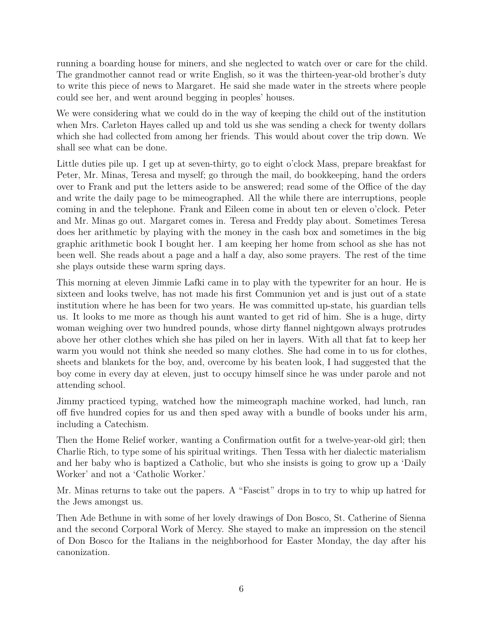running a boarding house for miners, and she neglected to watch over or care for the child. The grandmother cannot read or write English, so it was the thirteen-year-old brother's duty to write this piece of news to Margaret. He said she made water in the streets where people could see her, and went around begging in peoples' houses.

We were considering what we could do in the way of keeping the child out of the institution when Mrs. Carleton Hayes called up and told us she was sending a check for twenty dollars which she had collected from among her friends. This would about cover the trip down. We shall see what can be done.

Little duties pile up. I get up at seven-thirty, go to eight o'clock Mass, prepare breakfast for Peter, Mr. Minas, Teresa and myself; go through the mail, do bookkeeping, hand the orders over to Frank and put the letters aside to be answered; read some of the Office of the day and write the daily page to be mimeographed. All the while there are interruptions, people coming in and the telephone. Frank and Eileen come in about ten or eleven o'clock. Peter and Mr. Minas go out. Margaret comes in. Teresa and Freddy play about. Sometimes Teresa does her arithmetic by playing with the money in the cash box and sometimes in the big graphic arithmetic book I bought her. I am keeping her home from school as she has not been well. She reads about a page and a half a day, also some prayers. The rest of the time she plays outside these warm spring days.

This morning at eleven Jimmie Lafki came in to play with the typewriter for an hour. He is sixteen and looks twelve, has not made his first Communion yet and is just out of a state institution where he has been for two years. He was committed up-state, his guardian tells us. It looks to me more as though his aunt wanted to get rid of him. She is a huge, dirty woman weighing over two hundred pounds, whose dirty flannel nightgown always protrudes above her other clothes which she has piled on her in layers. With all that fat to keep her warm you would not think she needed so many clothes. She had come in to us for clothes, sheets and blankets for the boy, and, overcome by his beaten look, I had suggested that the boy come in every day at eleven, just to occupy himself since he was under parole and not attending school.

Jimmy practiced typing, watched how the mimeograph machine worked, had lunch, ran off five hundred copies for us and then sped away with a bundle of books under his arm, including a Catechism.

Then the Home Relief worker, wanting a Confirmation outfit for a twelve-year-old girl; then Charlie Rich, to type some of his spiritual writings. Then Tessa with her dialectic materialism and her baby who is baptized a Catholic, but who she insists is going to grow up a 'Daily Worker' and not a 'Catholic Worker.'

Mr. Minas returns to take out the papers. A "Fascist" drops in to try to whip up hatred for the Jews amongst us.

Then Ade Bethune in with some of her lovely drawings of Don Bosco, St. Catherine of Sienna and the second Corporal Work of Mercy. She stayed to make an impression on the stencil of Don Bosco for the Italians in the neighborhood for Easter Monday, the day after his canonization.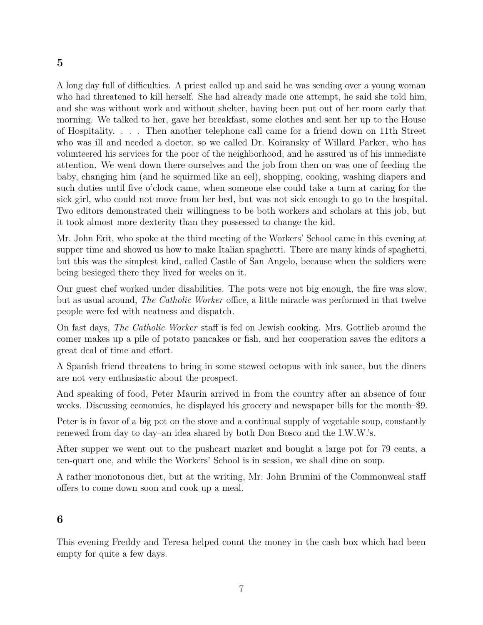A long day full of difficulties. A priest called up and said he was sending over a young woman who had threatened to kill herself. She had already made one attempt, he said she told him, and she was without work and without shelter, having been put out of her room early that morning. We talked to her, gave her breakfast, some clothes and sent her up to the House of Hospitality. . . . Then another telephone call came for a friend down on 11th Street who was ill and needed a doctor, so we called Dr. Koiransky of Willard Parker, who has volunteered his services for the poor of the neighborhood, and he assured us of his immediate attention. We went down there ourselves and the job from then on was one of feeding the baby, changing him (and he squirmed like an eel), shopping, cooking, washing diapers and such duties until five o'clock came, when someone else could take a turn at caring for the sick girl, who could not move from her bed, but was not sick enough to go to the hospital. Two editors demonstrated their willingness to be both workers and scholars at this job, but it took almost more dexterity than they possessed to change the kid.

Mr. John Erit, who spoke at the third meeting of the Workers' School came in this evening at supper time and showed us how to make Italian spaghetti. There are many kinds of spaghetti, but this was the simplest kind, called Castle of San Angelo, because when the soldiers were being besieged there they lived for weeks on it.

Our guest chef worked under disabilities. The pots were not big enough, the fire was slow, but as usual around, *The Catholic Worker* office, a little miracle was performed in that twelve people were fed with neatness and dispatch.

On fast days, *The Catholic Worker* staff is fed on Jewish cooking. Mrs. Gottlieb around the comer makes up a pile of potato pancakes or fish, and her cooperation saves the editors a great deal of time and effort.

A Spanish friend threatens to bring in some stewed octopus with ink sauce, but the diners are not very enthusiastic about the prospect.

And speaking of food, Peter Maurin arrived in from the country after an absence of four weeks. Discussing economics, he displayed his grocery and newspaper bills for the month–\$9.

Peter is in favor of a big pot on the stove and a continual supply of vegetable soup, constantly renewed from day to day–an idea shared by both Don Bosco and the I.W.W.'s.

After supper we went out to the pushcart market and bought a large pot for 79 cents, a ten-quart one, and while the Workers' School is in session, we shall dine on soup.

A rather monotonous diet, but at the writing, Mr. John Brunini of the Commonweal staff offers to come down soon and cook up a meal.

## **6**

This evening Freddy and Teresa helped count the money in the cash box which had been empty for quite a few days.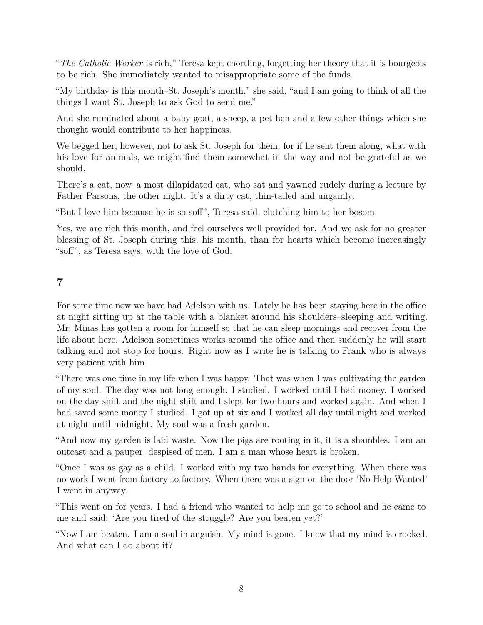"*The Catholic Worker* is rich," Teresa kept chortling, forgetting her theory that it is bourgeois to be rich. She immediately wanted to misappropriate some of the funds.

"My birthday is this month–St. Joseph's month," she said, "and I am going to think of all the things I want St. Joseph to ask God to send me."

And she ruminated about a baby goat, a sheep, a pet hen and a few other things which she thought would contribute to her happiness.

We begged her, however, not to ask St. Joseph for them, for if he sent them along, what with his love for animals, we might find them somewhat in the way and not be grateful as we should.

There's a cat, now–a most dilapidated cat, who sat and yawned rudely during a lecture by Father Parsons, the other night. It's a dirty cat, thin-tailed and ungainly.

"But I love him because he is so soff", Teresa said, clutching him to her bosom.

Yes, we are rich this month, and feel ourselves well provided for. And we ask for no greater blessing of St. Joseph during this, his month, than for hearts which become increasingly "soff", as Teresa says, with the love of God.

## **7**

For some time now we have had Adelson with us. Lately he has been staying here in the office at night sitting up at the table with a blanket around his shoulders–sleeping and writing. Mr. Minas has gotten a room for himself so that he can sleep mornings and recover from the life about here. Adelson sometimes works around the office and then suddenly he will start talking and not stop for hours. Right now as I write he is talking to Frank who is always very patient with him.

"There was one time in my life when I was happy. That was when I was cultivating the garden of my soul. The day was not long enough. I studied. I worked until I had money. I worked on the day shift and the night shift and I slept for two hours and worked again. And when I had saved some money I studied. I got up at six and I worked all day until night and worked at night until midnight. My soul was a fresh garden.

"And now my garden is laid waste. Now the pigs are rooting in it, it is a shambles. I am an outcast and a pauper, despised of men. I am a man whose heart is broken.

"Once I was as gay as a child. I worked with my two hands for everything. When there was no work I went from factory to factory. When there was a sign on the door 'No Help Wanted' I went in anyway.

"This went on for years. I had a friend who wanted to help me go to school and he came to me and said: 'Are you tired of the struggle? Are you beaten yet?'

"Now I am beaten. I am a soul in anguish. My mind is gone. I know that my mind is crooked. And what can I do about it?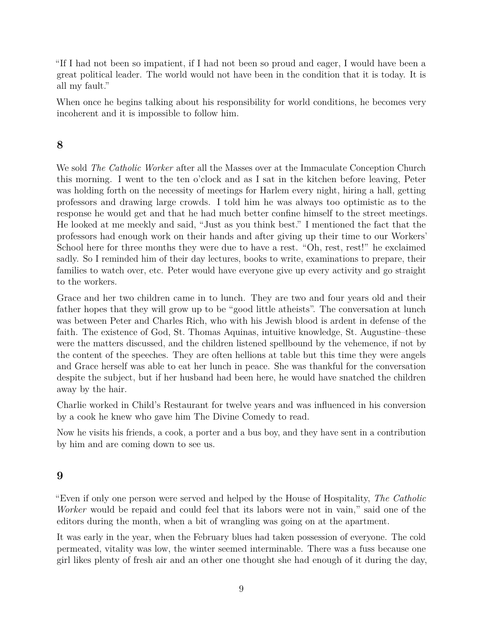"If I had not been so impatient, if I had not been so proud and eager, I would have been a great political leader. The world would not have been in the condition that it is today. It is all my fault."

When once he begins talking about his responsibility for world conditions, he becomes very incoherent and it is impossible to follow him.

## **8**

We sold *The Catholic Worker* after all the Masses over at the Immaculate Conception Church this morning. I went to the ten o'clock and as I sat in the kitchen before leaving, Peter was holding forth on the necessity of meetings for Harlem every night, hiring a hall, getting professors and drawing large crowds. I told him he was always too optimistic as to the response he would get and that he had much better confine himself to the street meetings. He looked at me meekly and said, "Just as you think best." I mentioned the fact that the professors had enough work on their hands and after giving up their time to our Workers' School here for three months they were due to have a rest. "Oh, rest, rest!" he exclaimed sadly. So I reminded him of their day lectures, books to write, examinations to prepare, their families to watch over, etc. Peter would have everyone give up every activity and go straight to the workers.

Grace and her two children came in to lunch. They are two and four years old and their father hopes that they will grow up to be "good little atheists". The conversation at lunch was between Peter and Charles Rich, who with his Jewish blood is ardent in defense of the faith. The existence of God, St. Thomas Aquinas, intuitive knowledge, St. Augustine–these were the matters discussed, and the children listened spellbound by the vehemence, if not by the content of the speeches. They are often hellions at table but this time they were angels and Grace herself was able to eat her lunch in peace. She was thankful for the conversation despite the subject, but if her husband had been here, he would have snatched the children away by the hair.

Charlie worked in Child's Restaurant for twelve years and was influenced in his conversion by a cook he knew who gave him The Divine Comedy to read.

Now he visits his friends, a cook, a porter and a bus boy, and they have sent in a contribution by him and are coming down to see us.

#### **9**

"Even if only one person were served and helped by the House of Hospitality, *The Catholic Worker* would be repaid and could feel that its labors were not in vain," said one of the editors during the month, when a bit of wrangling was going on at the apartment.

It was early in the year, when the February blues had taken possession of everyone. The cold permeated, vitality was low, the winter seemed interminable. There was a fuss because one girl likes plenty of fresh air and an other one thought she had enough of it during the day,